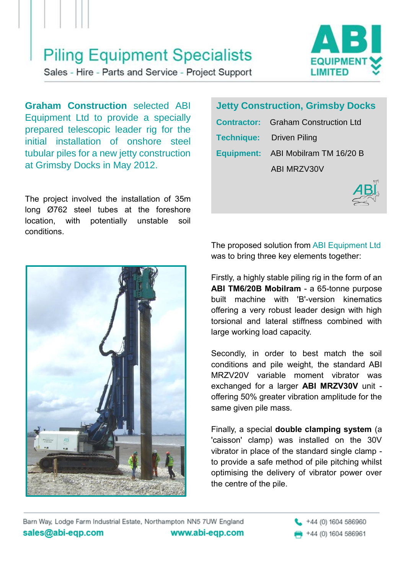## **Piling Equipment Specialists**

**EQUIPM** LIMITED

Sales - Hire - Parts and Service - Project Support

**Graham Construction** selected ABI Equipment Ltd to provide a specially prepared telescopic leader rig for the initial installation of onshore steel tubular piles for a new jetty construction at Grimsby Docks in May 2012.

The project involved the installation of 35m long Ø762 steel tubes at the foreshore location, with potentially unstable soil conditions.



## **Jetty Construction, Grimsby Docks**

| <b>Contractor:</b> Graham Construction Ltd |
|--------------------------------------------|
| <b>Technique:</b> Driven Piling            |
| Equipment: ABI Mobilram TM 16/20 B         |
| ABI MRZV30V                                |



The proposed solution from ABI Equipment Ltd was to bring three key elements together:

Firstly, a highly stable piling rig in the form of an **ABI TM6/20B Mobilram** - a 65-tonne purpose built machine with 'B'-version kinematics offering a very robust leader design with high torsional and lateral stiffness combined with large working load capacity.

Secondly, in order to best match the soil conditions and pile weight, the standard ABI MRZV20V variable moment vibrator was exchanged for a larger **ABI MRZV30V** unit offering 50% greater vibration amplitude for the same given pile mass.

Finally, a special **double clamping system** (a 'caisson' clamp) was installed on the 30V vibrator in place of the standard single clamp to provide a safe method of pile pitching whilst optimising the delivery of vibrator power over the centre of the pile.